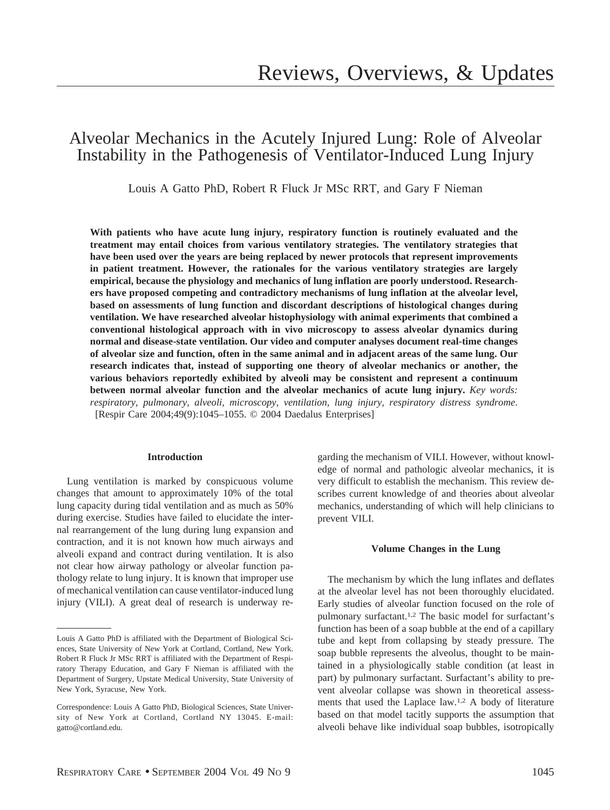# Alveolar Mechanics in the Acutely Injured Lung: Role of Alveolar Instability in the Pathogenesis of Ventilator-Induced Lung Injury

Louis A Gatto PhD, Robert R Fluck Jr MSc RRT, and Gary F Nieman

**With patients who have acute lung injury, respiratory function is routinely evaluated and the treatment may entail choices from various ventilatory strategies. The ventilatory strategies that have been used over the years are being replaced by newer protocols that represent improvements in patient treatment. However, the rationales for the various ventilatory strategies are largely empirical, because the physiology and mechanics of lung inflation are poorly understood. Researchers have proposed competing and contradictory mechanisms of lung inflation at the alveolar level, based on assessments of lung function and discordant descriptions of histological changes during ventilation. We have researched alveolar histophysiology with animal experiments that combined a conventional histological approach with in vivo microscopy to assess alveolar dynamics during normal and disease-state ventilation. Our video and computer analyses document real-time changes of alveolar size and function, often in the same animal and in adjacent areas of the same lung. Our research indicates that, instead of supporting one theory of alveolar mechanics or another, the various behaviors reportedly exhibited by alveoli may be consistent and represent a continuum between normal alveolar function and the alveolar mechanics of acute lung injury.** *Key words: respiratory, pulmonary, alveoli, microscopy, ventilation, lung injury, respiratory distress syndrome*. [Respir Care 2004;49(9):1045–1055. © 2004 Daedalus Enterprises]

## **Introduction**

Lung ventilation is marked by conspicuous volume changes that amount to approximately 10% of the total lung capacity during tidal ventilation and as much as 50% during exercise. Studies have failed to elucidate the internal rearrangement of the lung during lung expansion and contraction, and it is not known how much airways and alveoli expand and contract during ventilation. It is also not clear how airway pathology or alveolar function pathology relate to lung injury. It is known that improper use of mechanical ventilation can cause ventilator-induced lung injury (VILI). A great deal of research is underway regarding the mechanism of VILI. However, without knowledge of normal and pathologic alveolar mechanics, it is very difficult to establish the mechanism. This review describes current knowledge of and theories about alveolar mechanics, understanding of which will help clinicians to prevent VILI.

## **Volume Changes in the Lung**

The mechanism by which the lung inflates and deflates at the alveolar level has not been thoroughly elucidated. Early studies of alveolar function focused on the role of pulmonary surfactant.1,2 The basic model for surfactant's function has been of a soap bubble at the end of a capillary tube and kept from collapsing by steady pressure. The soap bubble represents the alveolus, thought to be maintained in a physiologically stable condition (at least in part) by pulmonary surfactant. Surfactant's ability to prevent alveolar collapse was shown in theoretical assessments that used the Laplace law.1,2 A body of literature based on that model tacitly supports the assumption that alveoli behave like individual soap bubbles, isotropically

Louis A Gatto PhD is affiliated with the Department of Biological Sciences, State University of New York at Cortland, Cortland, New York. Robert R Fluck Jr MSc RRT is affiliated with the Department of Respiratory Therapy Education, and Gary F Nieman is affiliated with the Department of Surgery, Upstate Medical University, State University of New York, Syracuse, New York.

Correspondence: Louis A Gatto PhD, Biological Sciences, State University of New York at Cortland, Cortland NY 13045. E-mail: gatto@cortland.edu.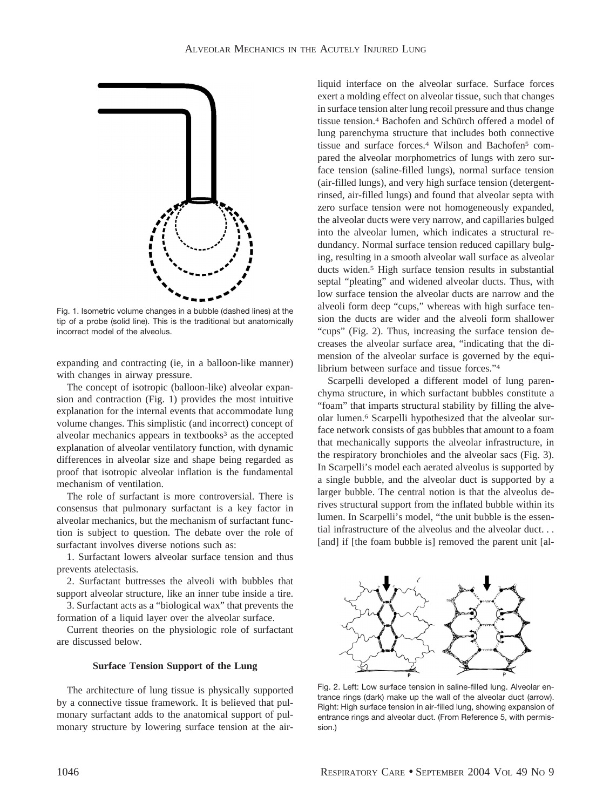

Fig. 1. Isometric volume changes in a bubble (dashed lines) at the tip of a probe (solid line). This is the traditional but anatomically incorrect model of the alveolus.

expanding and contracting (ie, in a balloon-like manner) with changes in airway pressure.

The concept of isotropic (balloon-like) alveolar expansion and contraction (Fig. 1) provides the most intuitive explanation for the internal events that accommodate lung volume changes. This simplistic (and incorrect) concept of alveolar mechanics appears in textbooks<sup>3</sup> as the accepted explanation of alveolar ventilatory function, with dynamic differences in alveolar size and shape being regarded as proof that isotropic alveolar inflation is the fundamental mechanism of ventilation.

The role of surfactant is more controversial. There is consensus that pulmonary surfactant is a key factor in alveolar mechanics, but the mechanism of surfactant function is subject to question. The debate over the role of surfactant involves diverse notions such as:

1. Surfactant lowers alveolar surface tension and thus prevents atelectasis.

2. Surfactant buttresses the alveoli with bubbles that support alveolar structure, like an inner tube inside a tire.

3. Surfactant acts as a "biological wax" that prevents the formation of a liquid layer over the alveolar surface.

Current theories on the physiologic role of surfactant are discussed below.

#### **Surface Tension Support of the Lung**

The architecture of lung tissue is physically supported by a connective tissue framework. It is believed that pulmonary surfactant adds to the anatomical support of pulmonary structure by lowering surface tension at the airliquid interface on the alveolar surface. Surface forces exert a molding effect on alveolar tissue, such that changes in surface tension alter lung recoil pressure and thus change tissue tension.<sup>4</sup> Bachofen and Schürch offered a model of lung parenchyma structure that includes both connective tissue and surface forces.<sup>4</sup> Wilson and Bachofen<sup>5</sup> compared the alveolar morphometrics of lungs with zero surface tension (saline-filled lungs), normal surface tension (air-filled lungs), and very high surface tension (detergentrinsed, air-filled lungs) and found that alveolar septa with zero surface tension were not homogeneously expanded, the alveolar ducts were very narrow, and capillaries bulged into the alveolar lumen, which indicates a structural redundancy. Normal surface tension reduced capillary bulging, resulting in a smooth alveolar wall surface as alveolar ducts widen.5 High surface tension results in substantial septal "pleating" and widened alveolar ducts. Thus, with low surface tension the alveolar ducts are narrow and the alveoli form deep "cups," whereas with high surface tension the ducts are wider and the alveoli form shallower "cups" (Fig. 2). Thus, increasing the surface tension decreases the alveolar surface area, "indicating that the dimension of the alveolar surface is governed by the equilibrium between surface and tissue forces."4

Scarpelli developed a different model of lung parenchyma structure, in which surfactant bubbles constitute a "foam" that imparts structural stability by filling the alveolar lumen.6 Scarpelli hypothesized that the alveolar surface network consists of gas bubbles that amount to a foam that mechanically supports the alveolar infrastructure, in the respiratory bronchioles and the alveolar sacs (Fig. 3). In Scarpelli's model each aerated alveolus is supported by a single bubble, and the alveolar duct is supported by a larger bubble. The central notion is that the alveolus derives structural support from the inflated bubble within its lumen. In Scarpelli's model, "the unit bubble is the essential infrastructure of the alveolus and the alveolar duct. . . [and] if [the foam bubble is] removed the parent unit [al-



Fig. 2. Left: Low surface tension in saline-filled lung. Alveolar entrance rings (dark) make up the wall of the alveolar duct (arrow). Right: High surface tension in air-filled lung, showing expansion of entrance rings and alveolar duct. (From Reference 5, with permission.)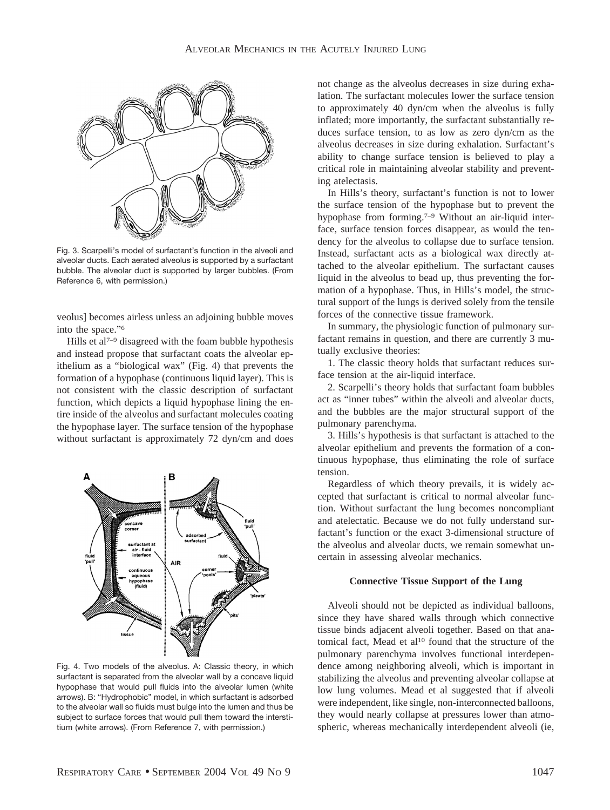

Fig. 3. Scarpelli's model of surfactant's function in the alveoli and alveolar ducts. Each aerated alveolus is supported by a surfactant bubble. The alveolar duct is supported by larger bubbles. (From Reference 6, with permission.)

veolus] becomes airless unless an adjoining bubble moves into the space."6

Hills et al<sup> $7-9$ </sup> disagreed with the foam bubble hypothesis and instead propose that surfactant coats the alveolar epithelium as a "biological wax" (Fig. 4) that prevents the formation of a hypophase (continuous liquid layer). This is not consistent with the classic description of surfactant function, which depicts a liquid hypophase lining the entire inside of the alveolus and surfactant molecules coating the hypophase layer. The surface tension of the hypophase without surfactant is approximately 72 dyn/cm and does



Fig. 4. Two models of the alveolus. A: Classic theory, in which surfactant is separated from the alveolar wall by a concave liquid hypophase that would pull fluids into the alveolar lumen (white arrows). B: "Hydrophobic" model, in which surfactant is adsorbed to the alveolar wall so fluids must bulge into the lumen and thus be subject to surface forces that would pull them toward the interstitium (white arrows). (From Reference 7, with permission.)

not change as the alveolus decreases in size during exhalation. The surfactant molecules lower the surface tension to approximately 40 dyn/cm when the alveolus is fully inflated; more importantly, the surfactant substantially reduces surface tension, to as low as zero dyn/cm as the alveolus decreases in size during exhalation. Surfactant's ability to change surface tension is believed to play a critical role in maintaining alveolar stability and preventing atelectasis.

In Hills's theory, surfactant's function is not to lower the surface tension of the hypophase but to prevent the hypophase from forming.<sup>7–9</sup> Without an air-liquid interface, surface tension forces disappear, as would the tendency for the alveolus to collapse due to surface tension. Instead, surfactant acts as a biological wax directly attached to the alveolar epithelium. The surfactant causes liquid in the alveolus to bead up, thus preventing the formation of a hypophase. Thus, in Hills's model, the structural support of the lungs is derived solely from the tensile forces of the connective tissue framework.

In summary, the physiologic function of pulmonary surfactant remains in question, and there are currently 3 mutually exclusive theories:

1. The classic theory holds that surfactant reduces surface tension at the air-liquid interface.

2. Scarpelli's theory holds that surfactant foam bubbles act as "inner tubes" within the alveoli and alveolar ducts, and the bubbles are the major structural support of the pulmonary parenchyma.

3. Hills's hypothesis is that surfactant is attached to the alveolar epithelium and prevents the formation of a continuous hypophase, thus eliminating the role of surface tension.

Regardless of which theory prevails, it is widely accepted that surfactant is critical to normal alveolar function. Without surfactant the lung becomes noncompliant and atelectatic. Because we do not fully understand surfactant's function or the exact 3-dimensional structure of the alveolus and alveolar ducts, we remain somewhat uncertain in assessing alveolar mechanics.

# **Connective Tissue Support of the Lung**

Alveoli should not be depicted as individual balloons, since they have shared walls through which connective tissue binds adjacent alveoli together. Based on that anatomical fact, Mead et al<sup>10</sup> found that the structure of the pulmonary parenchyma involves functional interdependence among neighboring alveoli, which is important in stabilizing the alveolus and preventing alveolar collapse at low lung volumes. Mead et al suggested that if alveoli were independent, like single, non-interconnected balloons, they would nearly collapse at pressures lower than atmospheric, whereas mechanically interdependent alveoli (ie,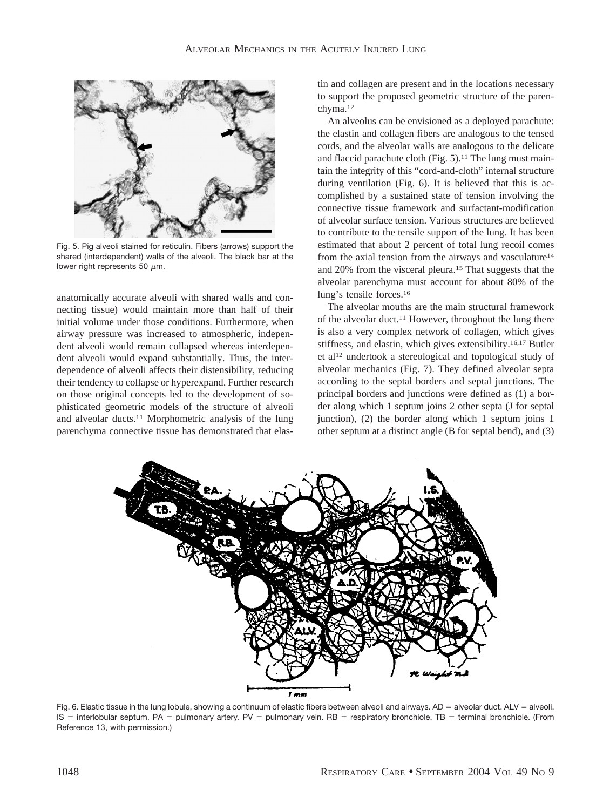

Fig. 5. Pig alveoli stained for reticulin. Fibers (arrows) support the shared (interdependent) walls of the alveoli. The black bar at the lower right represents 50  $\mu$ m.

anatomically accurate alveoli with shared walls and connecting tissue) would maintain more than half of their initial volume under those conditions. Furthermore, when airway pressure was increased to atmospheric, independent alveoli would remain collapsed whereas interdependent alveoli would expand substantially. Thus, the interdependence of alveoli affects their distensibility, reducing their tendency to collapse or hyperexpand. Further research on those original concepts led to the development of sophisticated geometric models of the structure of alveoli and alveolar ducts.11 Morphometric analysis of the lung parenchyma connective tissue has demonstrated that elastin and collagen are present and in the locations necessary to support the proposed geometric structure of the parenchyma.12

An alveolus can be envisioned as a deployed parachute: the elastin and collagen fibers are analogous to the tensed cords, and the alveolar walls are analogous to the delicate and flaccid parachute cloth (Fig.  $5$ ).<sup>11</sup> The lung must maintain the integrity of this "cord-and-cloth" internal structure during ventilation (Fig. 6). It is believed that this is accomplished by a sustained state of tension involving the connective tissue framework and surfactant-modification of alveolar surface tension. Various structures are believed to contribute to the tensile support of the lung. It has been estimated that about 2 percent of total lung recoil comes from the axial tension from the airways and vasculature<sup>14</sup> and 20% from the visceral pleura.15 That suggests that the alveolar parenchyma must account for about 80% of the lung's tensile forces.16

The alveolar mouths are the main structural framework of the alveolar duct.11 However, throughout the lung there is also a very complex network of collagen, which gives stiffness, and elastin, which gives extensibility.16,17 Butler et al12 undertook a stereological and topological study of alveolar mechanics (Fig. 7). They defined alveolar septa according to the septal borders and septal junctions. The principal borders and junctions were defined as (1) a border along which 1 septum joins 2 other septa (J for septal junction), (2) the border along which 1 septum joins 1 other septum at a distinct angle (B for septal bend), and (3)



Fig. 6. Elastic tissue in the lung lobule, showing a continuum of elastic fibers between alveoli and airways. AD = alveolar duct. ALV = alveoli.  $IS =$  interlobular septum. PA = pulmonary artery. PV = pulmonary vein. RB = respiratory bronchiole. TB = terminal bronchiole. (From Reference 13, with permission.)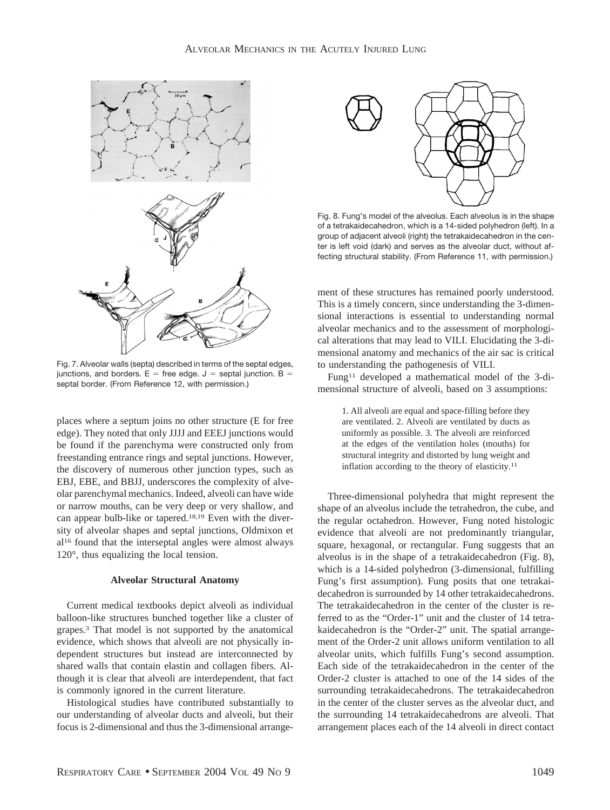

Fig. 7. Alveolar walls (septa) described in terms of the septal edges, junctions, and borders.  $E =$  free edge.  $J =$  septal junction.  $B =$ septal border. (From Reference 12, with permission.)

places where a septum joins no other structure (E for free edge). They noted that only JJJJ and EEEJ junctions would be found if the parenchyma were constructed only from freestanding entrance rings and septal junctions. However, the discovery of numerous other junction types, such as EBJ, EBE, and BBJJ, underscores the complexity of alveolar parenchymal mechanics. Indeed, alveoli can have wide or narrow mouths, can be very deep or very shallow, and can appear bulb-like or tapered.18,19 Even with the diversity of alveolar shapes and septal junctions, Oldmixon et al16 found that the interseptal angles were almost always 120°, thus equalizing the local tension.

#### **Alveolar Structural Anatomy**

Current medical textbooks depict alveoli as individual balloon-like structures bunched together like a cluster of grapes.3 That model is not supported by the anatomical evidence, which shows that alveoli are not physically independent structures but instead are interconnected by shared walls that contain elastin and collagen fibers. Although it is clear that alveoli are interdependent, that fact is commonly ignored in the current literature.

Histological studies have contributed substantially to our understanding of alveolar ducts and alveoli, but their focus is 2-dimensional and thus the 3-dimensional arrange-



Fig. 8. Fung's model of the alveolus. Each alveolus is in the shape of a tetrakaidecahedron, which is a 14-sided polyhedron (left). In a group of adjacent alveoli (right) the tetrakaidecahedron in the center is left void (dark) and serves as the alveolar duct, without affecting structural stability. (From Reference 11, with permission.)

ment of these structures has remained poorly understood. This is a timely concern, since understanding the 3-dimensional interactions is essential to understanding normal alveolar mechanics and to the assessment of morphological alterations that may lead to VILI. Elucidating the 3-dimensional anatomy and mechanics of the air sac is critical to understanding the pathogenesis of VILI.

Fung11 developed a mathematical model of the 3-dimensional structure of alveoli, based on 3 assumptions:

> 1. All alveoli are equal and space-filling before they are ventilated. 2. Alveoli are ventilated by ducts as uniformly as possible. 3. The alveoli are reinforced at the edges of the ventilation holes (mouths) for structural integrity and distorted by lung weight and inflation according to the theory of elasticity.<sup>11</sup>

Three-dimensional polyhedra that might represent the shape of an alveolus include the tetrahedron, the cube, and the regular octahedron. However, Fung noted histologic evidence that alveoli are not predominantly triangular, square, hexagonal, or rectangular. Fung suggests that an alveolus is in the shape of a tetrakaidecahedron (Fig. 8), which is a 14-sided polyhedron (3-dimensional, fulfilling Fung's first assumption). Fung posits that one tetrakaidecahedron is surrounded by 14 other tetrakaidecahedrons. The tetrakaidecahedron in the center of the cluster is referred to as the "Order-1" unit and the cluster of 14 tetrakaidecahedron is the "Order-2" unit. The spatial arrangement of the Order-2 unit allows uniform ventilation to all alveolar units, which fulfills Fung's second assumption. Each side of the tetrakaidecahedron in the center of the Order-2 cluster is attached to one of the 14 sides of the surrounding tetrakaidecahedrons. The tetrakaidecahedron in the center of the cluster serves as the alveolar duct, and the surrounding 14 tetrakaidecahedrons are alveoli. That arrangement places each of the 14 alveoli in direct contact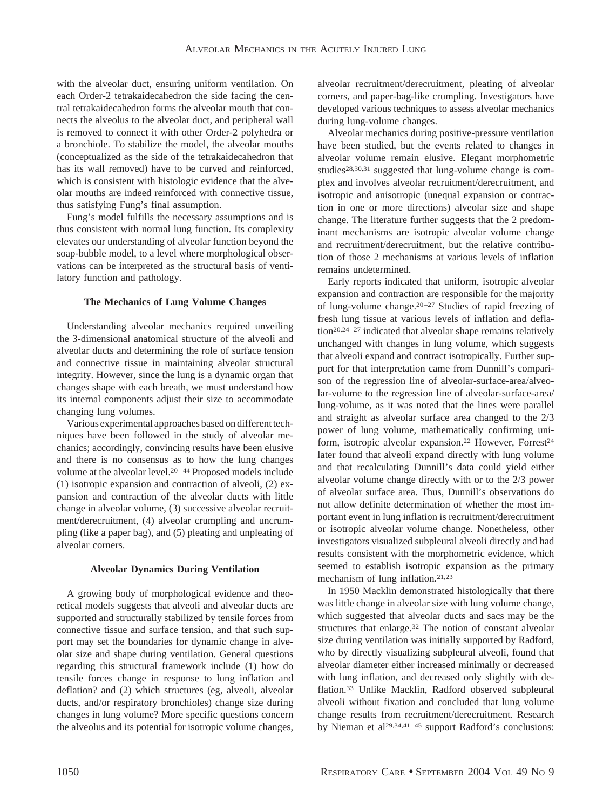with the alveolar duct, ensuring uniform ventilation. On each Order-2 tetrakaidecahedron the side facing the central tetrakaidecahedron forms the alveolar mouth that connects the alveolus to the alveolar duct, and peripheral wall is removed to connect it with other Order-2 polyhedra or a bronchiole. To stabilize the model, the alveolar mouths (conceptualized as the side of the tetrakaidecahedron that has its wall removed) have to be curved and reinforced, which is consistent with histologic evidence that the alveolar mouths are indeed reinforced with connective tissue, thus satisfying Fung's final assumption.

Fung's model fulfills the necessary assumptions and is thus consistent with normal lung function. Its complexity elevates our understanding of alveolar function beyond the soap-bubble model, to a level where morphological observations can be interpreted as the structural basis of ventilatory function and pathology.

# **The Mechanics of Lung Volume Changes**

Understanding alveolar mechanics required unveiling the 3-dimensional anatomical structure of the alveoli and alveolar ducts and determining the role of surface tension and connective tissue in maintaining alveolar structural integrity. However, since the lung is a dynamic organ that changes shape with each breath, we must understand how its internal components adjust their size to accommodate changing lung volumes.

Various experimental approaches based on different techniques have been followed in the study of alveolar mechanics; accordingly, convincing results have been elusive and there is no consensus as to how the lung changes volume at the alveolar level.20–44 Proposed models include (1) isotropic expansion and contraction of alveoli, (2) expansion and contraction of the alveolar ducts with little change in alveolar volume, (3) successive alveolar recruitment/derecruitment, (4) alveolar crumpling and uncrumpling (like a paper bag), and (5) pleating and unpleating of alveolar corners.

### **Alveolar Dynamics During Ventilation**

A growing body of morphological evidence and theoretical models suggests that alveoli and alveolar ducts are supported and structurally stabilized by tensile forces from connective tissue and surface tension, and that such support may set the boundaries for dynamic change in alveolar size and shape during ventilation. General questions regarding this structural framework include (1) how do tensile forces change in response to lung inflation and deflation? and (2) which structures (eg, alveoli, alveolar ducts, and/or respiratory bronchioles) change size during changes in lung volume? More specific questions concern the alveolus and its potential for isotropic volume changes, alveolar recruitment/derecruitment, pleating of alveolar corners, and paper-bag-like crumpling. Investigators have developed various techniques to assess alveolar mechanics during lung-volume changes.

Alveolar mechanics during positive-pressure ventilation have been studied, but the events related to changes in alveolar volume remain elusive. Elegant morphometric studies<sup>28,30,31</sup> suggested that lung-volume change is complex and involves alveolar recruitment/derecruitment, and isotropic and anisotropic (unequal expansion or contraction in one or more directions) alveolar size and shape change. The literature further suggests that the 2 predominant mechanisms are isotropic alveolar volume change and recruitment/derecruitment, but the relative contribution of those 2 mechanisms at various levels of inflation remains undetermined.

Early reports indicated that uniform, isotropic alveolar expansion and contraction are responsible for the majority of lung-volume change.20–27 Studies of rapid freezing of fresh lung tissue at various levels of inflation and deflation20,24–27 indicated that alveolar shape remains relatively unchanged with changes in lung volume, which suggests that alveoli expand and contract isotropically. Further support for that interpretation came from Dunnill's comparison of the regression line of alveolar-surface-area/alveolar-volume to the regression line of alveolar-surface-area/ lung-volume, as it was noted that the lines were parallel and straight as alveolar surface area changed to the 2/3 power of lung volume, mathematically confirming uniform, isotropic alveolar expansion.<sup>22</sup> However, Forrest<sup>24</sup> later found that alveoli expand directly with lung volume and that recalculating Dunnill's data could yield either alveolar volume change directly with or to the 2/3 power of alveolar surface area. Thus, Dunnill's observations do not allow definite determination of whether the most important event in lung inflation is recruitment/derecruitment or isotropic alveolar volume change. Nonetheless, other investigators visualized subpleural alveoli directly and had results consistent with the morphometric evidence, which seemed to establish isotropic expansion as the primary mechanism of lung inflation.21,23

In 1950 Macklin demonstrated histologically that there was little change in alveolar size with lung volume change, which suggested that alveolar ducts and sacs may be the structures that enlarge.<sup>32</sup> The notion of constant alveolar size during ventilation was initially supported by Radford, who by directly visualizing subpleural alveoli, found that alveolar diameter either increased minimally or decreased with lung inflation, and decreased only slightly with deflation.33 Unlike Macklin, Radford observed subpleural alveoli without fixation and concluded that lung volume change results from recruitment/derecruitment. Research by Nieman et al29,34,41–45 support Radford's conclusions: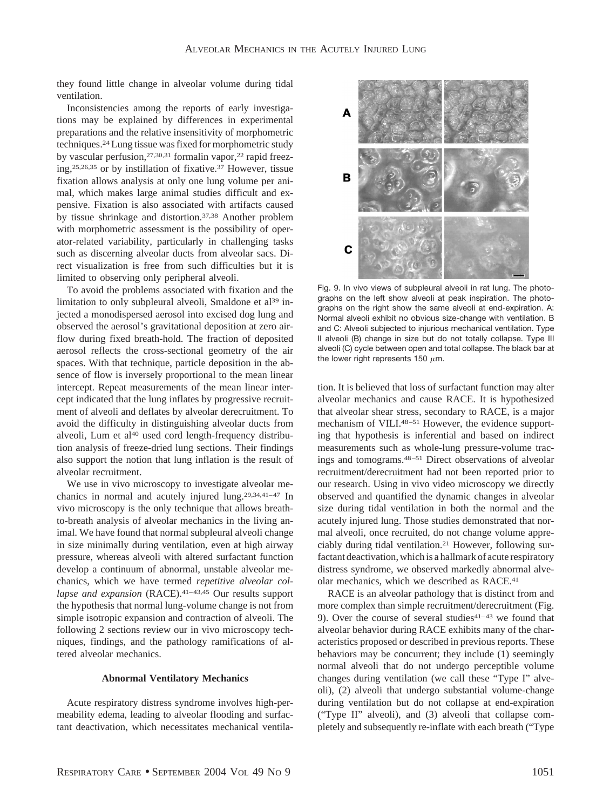they found little change in alveolar volume during tidal ventilation.

Inconsistencies among the reports of early investigations may be explained by differences in experimental preparations and the relative insensitivity of morphometric techniques.24 Lung tissue was fixed for morphometric study by vascular perfusion, 27,30,31 formalin vapor, <sup>22</sup> rapid freezing,25,26,35 or by instillation of fixative.37 However, tissue fixation allows analysis at only one lung volume per animal, which makes large animal studies difficult and expensive. Fixation is also associated with artifacts caused by tissue shrinkage and distortion.37,38 Another problem with morphometric assessment is the possibility of operator-related variability, particularly in challenging tasks such as discerning alveolar ducts from alveolar sacs. Direct visualization is free from such difficulties but it is limited to observing only peripheral alveoli.

To avoid the problems associated with fixation and the limitation to only subpleural alveoli, Smaldone et al<sup>39</sup> injected a monodispersed aerosol into excised dog lung and observed the aerosol's gravitational deposition at zero airflow during fixed breath-hold. The fraction of deposited aerosol reflects the cross-sectional geometry of the air spaces. With that technique, particle deposition in the absence of flow is inversely proportional to the mean linear intercept. Repeat measurements of the mean linear intercept indicated that the lung inflates by progressive recruitment of alveoli and deflates by alveolar derecruitment. To avoid the difficulty in distinguishing alveolar ducts from alveoli, Lum et al<sup>40</sup> used cord length-frequency distribution analysis of freeze-dried lung sections. Their findings also support the notion that lung inflation is the result of alveolar recruitment.

We use in vivo microscopy to investigate alveolar mechanics in normal and acutely injured lung.29,34,41–47 In vivo microscopy is the only technique that allows breathto-breath analysis of alveolar mechanics in the living animal. We have found that normal subpleural alveoli change in size minimally during ventilation, even at high airway pressure, whereas alveoli with altered surfactant function develop a continuum of abnormal, unstable alveolar mechanics, which we have termed *repetitive alveolar collapse and expansion* (RACE).<sup>41-43,45</sup> Our results support the hypothesis that normal lung-volume change is not from simple isotropic expansion and contraction of alveoli. The following 2 sections review our in vivo microscopy techniques, findings, and the pathology ramifications of altered alveolar mechanics.

#### **Abnormal Ventilatory Mechanics**

Acute respiratory distress syndrome involves high-permeability edema, leading to alveolar flooding and surfactant deactivation, which necessitates mechanical ventila-



Fig. 9. In vivo views of subpleural alveoli in rat lung. The photographs on the left show alveoli at peak inspiration. The photographs on the right show the same alveoli at end-expiration. A: Normal alveoli exhibit no obvious size-change with ventilation. B and C: Alveoli subjected to injurious mechanical ventilation. Type II alveoli (B) change in size but do not totally collapse. Type III alveoli (C) cycle between open and total collapse. The black bar at the lower right represents 150  $\mu$ m.

tion. It is believed that loss of surfactant function may alter alveolar mechanics and cause RACE. It is hypothesized that alveolar shear stress, secondary to RACE, is a major mechanism of VILI.<sup>48-51</sup> However, the evidence supporting that hypothesis is inferential and based on indirect measurements such as whole-lung pressure-volume tracings and tomograms.48–51 Direct observations of alveolar recruitment/derecruitment had not been reported prior to our research. Using in vivo video microscopy we directly observed and quantified the dynamic changes in alveolar size during tidal ventilation in both the normal and the acutely injured lung. Those studies demonstrated that normal alveoli, once recruited, do not change volume appreciably during tidal ventilation.21 However, following surfactant deactivation, which is a hallmark of acute respiratory distress syndrome, we observed markedly abnormal alveolar mechanics, which we described as RACE.41

RACE is an alveolar pathology that is distinct from and more complex than simple recruitment/derecruitment (Fig. 9). Over the course of several studies $41-43$  we found that alveolar behavior during RACE exhibits many of the characteristics proposed or described in previous reports. These behaviors may be concurrent; they include (1) seemingly normal alveoli that do not undergo perceptible volume changes during ventilation (we call these "Type I" alveoli), (2) alveoli that undergo substantial volume-change during ventilation but do not collapse at end-expiration ("Type II" alveoli), and (3) alveoli that collapse completely and subsequently re-inflate with each breath ("Type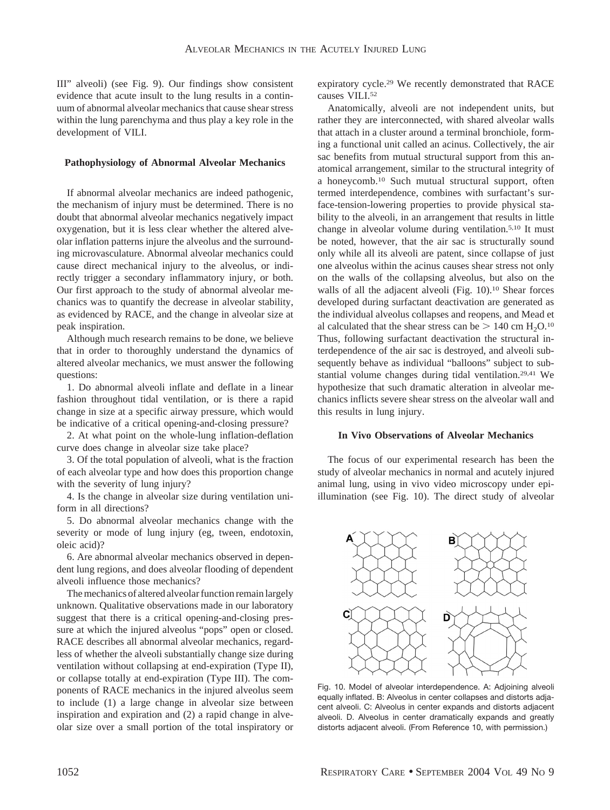III" alveoli) (see Fig. 9). Our findings show consistent evidence that acute insult to the lung results in a continuum of abnormal alveolar mechanics that cause shear stress within the lung parenchyma and thus play a key role in the development of VILI.

#### **Pathophysiology of Abnormal Alveolar Mechanics**

If abnormal alveolar mechanics are indeed pathogenic, the mechanism of injury must be determined. There is no doubt that abnormal alveolar mechanics negatively impact oxygenation, but it is less clear whether the altered alveolar inflation patterns injure the alveolus and the surrounding microvasculature. Abnormal alveolar mechanics could cause direct mechanical injury to the alveolus, or indirectly trigger a secondary inflammatory injury, or both. Our first approach to the study of abnormal alveolar mechanics was to quantify the decrease in alveolar stability, as evidenced by RACE, and the change in alveolar size at peak inspiration.

Although much research remains to be done, we believe that in order to thoroughly understand the dynamics of altered alveolar mechanics, we must answer the following questions:

1. Do abnormal alveoli inflate and deflate in a linear fashion throughout tidal ventilation, or is there a rapid change in size at a specific airway pressure, which would be indicative of a critical opening-and-closing pressure?

2. At what point on the whole-lung inflation-deflation curve does change in alveolar size take place?

3. Of the total population of alveoli, what is the fraction of each alveolar type and how does this proportion change with the severity of lung injury?

4. Is the change in alveolar size during ventilation uniform in all directions?

5. Do abnormal alveolar mechanics change with the severity or mode of lung injury (eg, tween, endotoxin, oleic acid)?

6. Are abnormal alveolar mechanics observed in dependent lung regions, and does alveolar flooding of dependent alveoli influence those mechanics?

The mechanics of altered alveolar function remain largely unknown. Qualitative observations made in our laboratory suggest that there is a critical opening-and-closing pressure at which the injured alveolus "pops" open or closed. RACE describes all abnormal alveolar mechanics, regardless of whether the alveoli substantially change size during ventilation without collapsing at end-expiration (Type II), or collapse totally at end-expiration (Type III). The components of RACE mechanics in the injured alveolus seem to include (1) a large change in alveolar size between inspiration and expiration and (2) a rapid change in alveolar size over a small portion of the total inspiratory or expiratory cycle.29 We recently demonstrated that RACE causes VILI.<sup>52</sup>

Anatomically, alveoli are not independent units, but rather they are interconnected, with shared alveolar walls that attach in a cluster around a terminal bronchiole, forming a functional unit called an acinus. Collectively, the air sac benefits from mutual structural support from this anatomical arrangement, similar to the structural integrity of a honeycomb.10 Such mutual structural support, often termed interdependence, combines with surfactant's surface-tension-lowering properties to provide physical stability to the alveoli, in an arrangement that results in little change in alveolar volume during ventilation.5,10 It must be noted, however, that the air sac is structurally sound only while all its alveoli are patent, since collapse of just one alveolus within the acinus causes shear stress not only on the walls of the collapsing alveolus, but also on the walls of all the adjacent alveoli (Fig. 10).<sup>10</sup> Shear forces developed during surfactant deactivation are generated as the individual alveolus collapses and reopens, and Mead et al calculated that the shear stress can be  $> 140$  cm  $\text{H}_2\text{O}.^{10}$ Thus, following surfactant deactivation the structural interdependence of the air sac is destroyed, and alveoli subsequently behave as individual "balloons" subject to substantial volume changes during tidal ventilation.29,41 We hypothesize that such dramatic alteration in alveolar mechanics inflicts severe shear stress on the alveolar wall and this results in lung injury.

# **In Vivo Observations of Alveolar Mechanics**

The focus of our experimental research has been the study of alveolar mechanics in normal and acutely injured animal lung, using in vivo video microscopy under epiillumination (see Fig. 10). The direct study of alveolar



Fig. 10. Model of alveolar interdependence. A: Adjoining alveoli equally inflated. B: Alveolus in center collapses and distorts adjacent alveoli. C: Alveolus in center expands and distorts adjacent alveoli. D. Alveolus in center dramatically expands and greatly distorts adjacent alveoli. (From Reference 10, with permission.)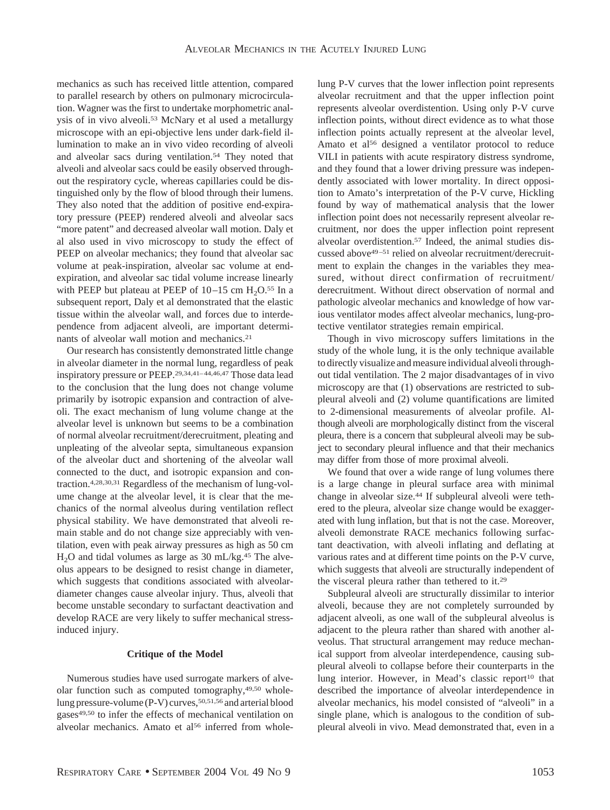mechanics as such has received little attention, compared to parallel research by others on pulmonary microcirculation. Wagner was the first to undertake morphometric analysis of in vivo alveoli.<sup>53</sup> McNary et al used a metallurgy microscope with an epi-objective lens under dark-field illumination to make an in vivo video recording of alveoli and alveolar sacs during ventilation.54 They noted that alveoli and alveolar sacs could be easily observed throughout the respiratory cycle, whereas capillaries could be distinguished only by the flow of blood through their lumens. They also noted that the addition of positive end-expiratory pressure (PEEP) rendered alveoli and alveolar sacs "more patent" and decreased alveolar wall motion. Daly et al also used in vivo microscopy to study the effect of PEEP on alveolar mechanics; they found that alveolar sac volume at peak-inspiration, alveolar sac volume at endexpiration, and alveolar sac tidal volume increase linearly with PEEP but plateau at PEEP of  $10-15$  cm  $H_2O$ <sup>55</sup> In a subsequent report, Daly et al demonstrated that the elastic tissue within the alveolar wall, and forces due to interdependence from adjacent alveoli, are important determinants of alveolar wall motion and mechanics.21

Our research has consistently demonstrated little change in alveolar diameter in the normal lung, regardless of peak inspiratory pressure or PEEP.29,34,41–44,46,47 Those data lead to the conclusion that the lung does not change volume primarily by isotropic expansion and contraction of alveoli. The exact mechanism of lung volume change at the alveolar level is unknown but seems to be a combination of normal alveolar recruitment/derecruitment, pleating and unpleating of the alveolar septa, simultaneous expansion of the alveolar duct and shortening of the alveolar wall connected to the duct, and isotropic expansion and contraction.4,28,30,31 Regardless of the mechanism of lung-volume change at the alveolar level, it is clear that the mechanics of the normal alveolus during ventilation reflect physical stability. We have demonstrated that alveoli remain stable and do not change size appreciably with ventilation, even with peak airway pressures as high as 50 cm H<sub>2</sub>O and tidal volumes as large as 30 mL/kg.<sup>45</sup> The alveolus appears to be designed to resist change in diameter, which suggests that conditions associated with alveolardiameter changes cause alveolar injury. Thus, alveoli that become unstable secondary to surfactant deactivation and develop RACE are very likely to suffer mechanical stressinduced injury.

# **Critique of the Model**

Numerous studies have used surrogate markers of alveolar function such as computed tomography,49,50 wholelung pressure-volume (P-V) curves, 50,51,56 and arterial blood gases<sup>49,50</sup> to infer the effects of mechanical ventilation on alveolar mechanics. Amato et al<sup>56</sup> inferred from wholelung P-V curves that the lower inflection point represents alveolar recruitment and that the upper inflection point represents alveolar overdistention. Using only P-V curve inflection points, without direct evidence as to what those inflection points actually represent at the alveolar level, Amato et al<sup>56</sup> designed a ventilator protocol to reduce VILI in patients with acute respiratory distress syndrome, and they found that a lower driving pressure was independently associated with lower mortality. In direct opposition to Amato's interpretation of the P-V curve, Hickling found by way of mathematical analysis that the lower inflection point does not necessarily represent alveolar recruitment, nor does the upper inflection point represent alveolar overdistention.57 Indeed, the animal studies discussed above49–51 relied on alveolar recruitment/derecruitment to explain the changes in the variables they measured, without direct confirmation of recruitment/ derecruitment. Without direct observation of normal and pathologic alveolar mechanics and knowledge of how various ventilator modes affect alveolar mechanics, lung-protective ventilator strategies remain empirical.

Though in vivo microscopy suffers limitations in the study of the whole lung, it is the only technique available to directly visualize and measure individual alveoli throughout tidal ventilation. The 2 major disadvantages of in vivo microscopy are that (1) observations are restricted to subpleural alveoli and (2) volume quantifications are limited to 2-dimensional measurements of alveolar profile. Although alveoli are morphologically distinct from the visceral pleura, there is a concern that subpleural alveoli may be subject to secondary pleural influence and that their mechanics may differ from those of more proximal alveoli.

We found that over a wide range of lung volumes there is a large change in pleural surface area with minimal change in alveolar size.44 If subpleural alveoli were tethered to the pleura, alveolar size change would be exaggerated with lung inflation, but that is not the case. Moreover, alveoli demonstrate RACE mechanics following surfactant deactivation, with alveoli inflating and deflating at various rates and at different time points on the P-V curve, which suggests that alveoli are structurally independent of the visceral pleura rather than tethered to it.29

Subpleural alveoli are structurally dissimilar to interior alveoli, because they are not completely surrounded by adjacent alveoli, as one wall of the subpleural alveolus is adjacent to the pleura rather than shared with another alveolus. That structural arrangement may reduce mechanical support from alveolar interdependence, causing subpleural alveoli to collapse before their counterparts in the lung interior. However, in Mead's classic report<sup>10</sup> that described the importance of alveolar interdependence in alveolar mechanics, his model consisted of "alveoli" in a single plane, which is analogous to the condition of subpleural alveoli in vivo. Mead demonstrated that, even in a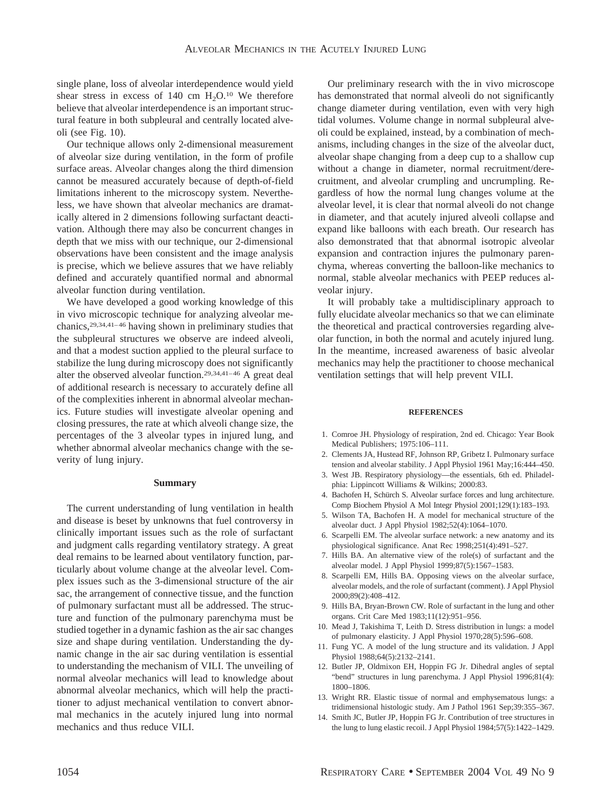single plane, loss of alveolar interdependence would yield shear stress in excess of  $140 \text{ cm } H_2O$ .<sup>10</sup> We therefore believe that alveolar interdependence is an important structural feature in both subpleural and centrally located alveoli (see Fig. 10).

Our technique allows only 2-dimensional measurement of alveolar size during ventilation, in the form of profile surface areas. Alveolar changes along the third dimension cannot be measured accurately because of depth-of-field limitations inherent to the microscopy system. Nevertheless, we have shown that alveolar mechanics are dramatically altered in 2 dimensions following surfactant deactivation. Although there may also be concurrent changes in depth that we miss with our technique, our 2-dimensional observations have been consistent and the image analysis is precise, which we believe assures that we have reliably defined and accurately quantified normal and abnormal alveolar function during ventilation.

We have developed a good working knowledge of this in vivo microscopic technique for analyzing alveolar mechanics,29,34,41–46 having shown in preliminary studies that the subpleural structures we observe are indeed alveoli, and that a modest suction applied to the pleural surface to stabilize the lung during microscopy does not significantly alter the observed alveolar function.29,34,41–46 A great deal of additional research is necessary to accurately define all of the complexities inherent in abnormal alveolar mechanics. Future studies will investigate alveolar opening and closing pressures, the rate at which alveoli change size, the percentages of the 3 alveolar types in injured lung, and whether abnormal alveolar mechanics change with the severity of lung injury.

## **Summary**

The current understanding of lung ventilation in health and disease is beset by unknowns that fuel controversy in clinically important issues such as the role of surfactant and judgment calls regarding ventilatory strategy. A great deal remains to be learned about ventilatory function, particularly about volume change at the alveolar level. Complex issues such as the 3-dimensional structure of the air sac, the arrangement of connective tissue, and the function of pulmonary surfactant must all be addressed. The structure and function of the pulmonary parenchyma must be studied together in a dynamic fashion as the air sac changes size and shape during ventilation. Understanding the dynamic change in the air sac during ventilation is essential to understanding the mechanism of VILI. The unveiling of normal alveolar mechanics will lead to knowledge about abnormal alveolar mechanics, which will help the practitioner to adjust mechanical ventilation to convert abnormal mechanics in the acutely injured lung into normal mechanics and thus reduce VILI.

Our preliminary research with the in vivo microscope has demonstrated that normal alveoli do not significantly change diameter during ventilation, even with very high tidal volumes. Volume change in normal subpleural alveoli could be explained, instead, by a combination of mechanisms, including changes in the size of the alveolar duct, alveolar shape changing from a deep cup to a shallow cup without a change in diameter, normal recruitment/derecruitment, and alveolar crumpling and uncrumpling. Regardless of how the normal lung changes volume at the alveolar level, it is clear that normal alveoli do not change in diameter, and that acutely injured alveoli collapse and expand like balloons with each breath. Our research has also demonstrated that that abnormal isotropic alveolar expansion and contraction injures the pulmonary parenchyma, whereas converting the balloon-like mechanics to normal, stable alveolar mechanics with PEEP reduces alveolar injury.

It will probably take a multidisciplinary approach to fully elucidate alveolar mechanics so that we can eliminate the theoretical and practical controversies regarding alveolar function, in both the normal and acutely injured lung. In the meantime, increased awareness of basic alveolar mechanics may help the practitioner to choose mechanical ventilation settings that will help prevent VILI.

#### **REFERENCES**

- 1. Comroe JH. Physiology of respiration, 2nd ed. Chicago: Year Book Medical Publishers; 1975:106–111.
- 2. Clements JA, Hustead RF, Johnson RP, Gribetz I. Pulmonary surface tension and alveolar stability. J Appl Physiol 1961 May;16:444–450.
- 3. West JB. Respiratory physiology—the essentials, 6th ed. Philadelphia: Lippincott Williams & Wilkins; 2000:83.
- 4. Bachofen H, Schürch S. Alveolar surface forces and lung architecture. Comp Biochem Physiol A Mol Integr Physiol 2001;129(1):183–193.
- 5. Wilson TA, Bachofen H. A model for mechanical structure of the alveolar duct. J Appl Physiol 1982;52(4):1064–1070.
- 6. Scarpelli EM. The alveolar surface network: a new anatomy and its physiological significance. Anat Rec 1998;251(4):491–527.
- 7. Hills BA. An alternative view of the role(s) of surfactant and the alveolar model. J Appl Physiol 1999;87(5):1567–1583.
- 8. Scarpelli EM, Hills BA. Opposing views on the alveolar surface, alveolar models, and the role of surfactant (comment). J Appl Physiol 2000;89(2):408–412.
- 9. Hills BA, Bryan-Brown CW. Role of surfactant in the lung and other organs. Crit Care Med 1983;11(12):951–956.
- 10. Mead J, Takishima T, Leith D. Stress distribution in lungs: a model of pulmonary elasticity. J Appl Physiol 1970;28(5):596–608.
- 11. Fung YC. A model of the lung structure and its validation. J Appl Physiol 1988;64(5):2132–2141.
- 12. Butler JP, Oldmixon EH, Hoppin FG Jr. Dihedral angles of septal "bend" structures in lung parenchyma. J Appl Physiol 1996;81(4): 1800–1806.
- 13. Wright RR. Elastic tissue of normal and emphysematous lungs: a tridimensional histologic study. Am J Pathol 1961 Sep;39:355–367.
- 14. Smith JC, Butler JP, Hoppin FG Jr. Contribution of tree structures in the lung to lung elastic recoil. J Appl Physiol 1984;57(5):1422–1429.